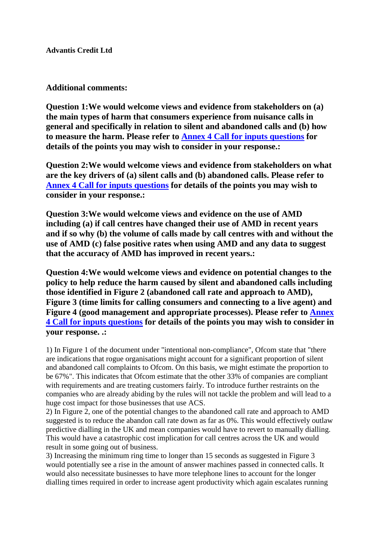**Advantis Credit Ltd**

## **Additional comments:**

**Question 1:We would welcome views and evidence from stakeholders on (a) the main types of harm that consumers experience from nuisance calls in general and specifically in relation to silent and abandoned calls and (b) how to measure the harm. Please refer to Annex 4 Call for inputs questions for details of the points you may wish to consider in your response.:**

**Question 2:We would welcome views and evidence from stakeholders on what are the key drivers of (a) silent calls and (b) abandoned calls. Please refer to Annex 4 Call for inputs questions for details of the points you may wish to consider in your response.:**

**Question 3:We would welcome views and evidence on the use of AMD including (a) if call centres have changed their use of AMD in recent years and if so why (b) the volume of calls made by call centres with and without the use of AMD (c) false positive rates when using AMD and any data to suggest that the accuracy of AMD has improved in recent years.:**

**Question 4:We would welcome views and evidence on potential changes to the policy to help reduce the harm caused by silent and abandoned calls including those identified in Figure 2 (abandoned call rate and approach to AMD), Figure 3 (time limits for calling consumers and connecting to a live agent) and Figure 4 (good management and appropriate processes). Please refer to Annex 4 Call for inputs questions for details of the points you may wish to consider in your response. .:**

1) In Figure 1 of the document under "intentional non-compliance", Ofcom state that "there are indications that rogue organisations might account for a significant proportion of silent and abandoned call complaints to Ofcom. On this basis, we might estimate the proportion to be 67%". This indicates that Ofcom estimate that the other 33% of companies are compliant with requirements and are treating customers fairly. To introduce further restraints on the companies who are already abiding by the rules will not tackle the problem and will lead to a huge cost impact for those businesses that use ACS.

2) In Figure 2, one of the potential changes to the abandoned call rate and approach to AMD suggested is to reduce the abandon call rate down as far as 0%. This would effectively outlaw predictive dialling in the UK and mean companies would have to revert to manually dialling. This would have a catastrophic cost implication for call centres across the UK and would result in some going out of business.

3) Increasing the minimum ring time to longer than 15 seconds as suggested in Figure 3 would potentially see a rise in the amount of answer machines passed in connected calls. It would also necessitate businesses to have more telephone lines to account for the longer dialling times required in order to increase agent productivity which again escalates running